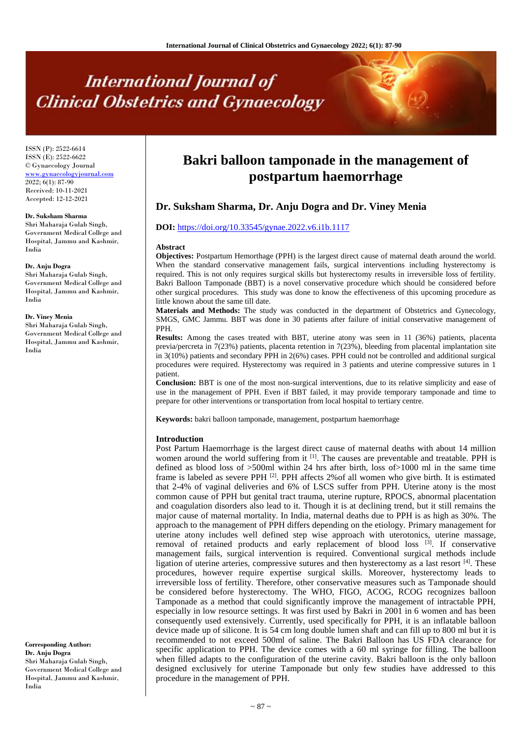# **International Journal of Clinical Obstetrics and Gynaecology**

ISSN (P): 2522-6614 ISSN (E): 2522-6622 © Gynaecology Journal <www.gynaecologyjournal.com> 2022; 6(1): 87-90 Received: 10-11-2021 Accepted: 12-12-2021

#### **Dr. Suksham Sharma**

Shri Maharaja Gulab Singh, Government Medical College and Hospital, Jammu and Kashmir, India

# **Dr. Anju Dogra**

Shri Maharaja Gulab Singh, Government Medical College and Hospital, Jammu and Kashmir, India

#### **Dr. Viney Menia**

Shri Maharaja Gulab Singh, Government Medical College and Hospital, Jammu and Kashmir, India

**Corresponding Author: Dr. Anju Dogra** Shri Maharaja Gulab Singh, Government Medical College and Hospital, Jammu and Kashmir, India

# **Bakri balloon tamponade in the management of postpartum haemorrhage**

# **Dr. Suksham Sharma, Dr. Anju Dogra and Dr. Viney Menia**

# **DOI:** <https://doi.org/10.33545/gynae.2022.v6.i1b.1117>

#### **Abstract**

**Objectives:** Postpartum Hemorthage (PPH) is the largest direct cause of maternal death around the world. When the standard conservative management fails, surgical interventions including hysterectomy is required. This is not only requires surgical skills but hysterectomy results in irreversible loss of fertility. Bakri Balloon Tamponade (BBT) is a novel conservative procedure which should be considered before other surgical procedures. This study was done to know the effectiveness of this upcoming procedure as little known about the same till date.

**Materials and Methods:** The study was conducted in the department of Obstetrics and Gynecology, SMGS, GMC Jammu. BBT was done in 30 patients after failure of initial conservative management of PPH.

**Results:** Among the cases treated with BBT, uterine atony was seen in 11 (36%) patients, placenta previa/percreta in 7(23%) patients, placenta retention in 7(23%), bleeding from placental implantation site in 3(10%) patients and secondary PPH in 2(6%) cases. PPH could not be controlled and additional surgical procedures were required. Hysterectomy was required in 3 patients and uterine compressive sutures in 1 patient.

**Conclusion:** BBT is one of the most non-surgical interventions, due to its relative simplicity and ease of use in the management of PPH. Even if BBT failed, it may provide temporary tamponade and time to prepare for other interventions or transportation from local hospital to tertiary centre.

**Keywords:** bakri balloon tamponade, management, postpartum haemorrhage

# **Introduction**

Post Partum Haemorrhage is the largest direct cause of maternal deaths with about 14 million women around the world suffering from it <sup>[1]</sup>. The causes are preventable and treatable. PPH is defined as blood loss of >500ml within 24 hrs after birth, loss of>1000 ml in the same time frame is labeled as severe PPH<sup>[2]</sup>. PPH affects 2% of all women who give birth. It is estimated that 2-4% of vaginal deliveries and 6% of LSCS suffer from PPH. Uterine atony is the most common cause of PPH but genital tract trauma, uterine rupture, RPOCS, abnormal placentation and coagulation disorders also lead to it. Though it is at declining trend, but it still remains the major cause of maternal mortality. In India, maternal deaths due to PPH is as high as 30%. The approach to the management of PPH differs depending on the etiology. Primary management for uterine atony includes well defined step wise approach with uterotonics, uterine massage, removal of retained products and early replacement of blood loss  $[3]$ . If conservative management fails, surgical intervention is required. Conventional surgical methods include ligation of uterine arteries, compressive sutures and then hysterectomy as a last resort [4]. These procedures, however require expertise surgical skills. Moreover, hysterectomy leads to irreversible loss of fertility. Therefore, other conservative measures such as Tamponade should be considered before hysterectomy. The WHO, FIGO, ACOG, RCOG recognizes balloon Tamponade as a method that could significantly improve the management of intractable PPH, especially in low resource settings. It was first used by Bakri in 2001 in 6 women and has been consequently used extensively. Currently, used specifically for PPH, it is an inflatable balloon device made up of silicone. It is 54 cm long double lumen shaft and can fill up to 800 ml but it is recommended to not exceed 500ml of saline. The Bakri Balloon has US FDA clearance for specific application to PPH. The device comes with a 60 ml syringe for filling. The balloon when filled adapts to the configuration of the uterine cavity. Bakri balloon is the only balloon designed exclusively for uterine Tamponade but only few studies have addressed to this procedure in the management of PPH.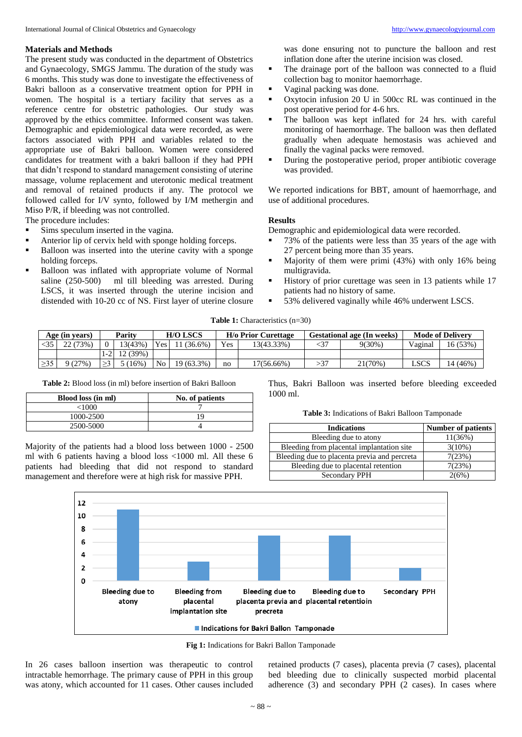The present study was conducted in the department of Obstetrics and Gynaecology, SMGS Jammu. The duration of the study was 6 months. This study was done to investigate the effectiveness of Bakri balloon as a conservative treatment option for PPH in women. The hospital is a tertiary facility that serves as a reference centre for obstetric pathologies. Our study was approved by the ethics committee. Informed consent was taken. Demographic and epidemiological data were recorded, as were factors associated with PPH and variables related to the appropriate use of Bakri balloon. Women were considered candidates for treatment with a bakri balloon if they had PPH that didn't respond to standard management consisting of uterine massage, volume replacement and uterotonic medical treatment and removal of retained products if any. The protocol we followed called for I/V synto, followed by I/M methergin and Miso P/R, if bleeding was not controlled.

The procedure includes:

- Sims speculum inserted in the vagina.
- Anterior lip of cervix held with sponge holding forceps.
- Balloon was inserted into the uterine cavity with a sponge holding forceps.
- Balloon was inflated with appropriate volume of Normal saline (250-500) ml till bleeding was arrested. During LSCS, it was inserted through the uterine incision and distended with 10-20 cc of NS. First layer of uterine closure

was done ensuring not to puncture the balloon and rest inflation done after the uterine incision was closed.

- The drainage port of the balloon was connected to a fluid collection bag to monitor haemorrhage.
- Vaginal packing was done.
- Oxytocin infusion 20 U in 500cc RL was continued in the post operative period for 4-6 hrs.
- The balloon was kept inflated for 24 hrs. with careful monitoring of haemorrhage. The balloon was then deflated gradually when adequate hemostasis was achieved and finally the vaginal packs were removed.
- During the postoperative period, proper antibiotic coverage was provided.

We reported indications for BBT, amount of haemorrhage, and use of additional procedures.

# **Results**

Demographic and epidemiological data were recorded.

- 73% of the patients were less than 35 years of the age with 27 percent being more than 35 years.
- Majority of them were primi (43%) with only 16% being multigravida.
- History of prior curettage was seen in 13 patients while 17 patients had no history of same.
- 53% delivered vaginally while 46% underwent LSCS.

**Table 1:** Characteristics (n=30)

| Age (in years) |          | Parity |          | <b>H/O LSCS</b>  |            | <b>H/o Prior Curettage</b> |               | <b>Gestational age (In weeks)</b> |           | <b>Mode of Delivery</b> |          |
|----------------|----------|--------|----------|------------------|------------|----------------------------|---------------|-----------------------------------|-----------|-------------------------|----------|
|                | 22 (73%) |        | 13(43%)  | Yes <sub>1</sub> | $(36.6\%)$ | Yes                        | 13(43.33%)    |                                   | $9(30\%)$ | Vaginal                 | 16 (53%) |
|                |          |        | 12 (39%) |                  |            |                            |               |                                   |           |                         |          |
|                | 9(27%)   |        | $16\%)$  | No <sub>1</sub>  | 19 (63.3%) | no                         | $17(56.66\%)$ | $\sim$                            | 21(70%)   | <b>LSCS</b>             | 14 (46%) |

**Table 2:** Blood loss (in ml) before insertion of Bakri Balloon

| <b>Blood loss (in ml)</b> | No. of patients |
|---------------------------|-----------------|
| <1000                     |                 |
| 1000-2500                 |                 |
| 2500-5000                 |                 |

Majority of the patients had a blood loss between 1000 - 2500 ml with 6 patients having a blood loss <1000 ml. All these 6 patients had bleeding that did not respond to standard management and therefore were at high risk for massive PPH.

Thus, Bakri Balloon was inserted before bleeding exceeded 1000 ml.

**Table 3:** Indications of Bakri Balloon Tamponade

| <b>Indications</b>                           | <b>Number of patients</b> |
|----------------------------------------------|---------------------------|
| Bleeding due to atony                        | 11(36%)                   |
| Bleeding from placental implantation site    | $3(10\%)$                 |
| Bleeding due to placenta previa and percreta | 7(23%)                    |
| Bleeding due to placental retention          | 7(23%)                    |
| Secondary PPH                                | 2(6%)                     |



**Fig 1:** Indications for Bakri Ballon Tamponade

In 26 cases balloon insertion was therapeutic to control intractable hemorrhage. The primary cause of PPH in this group was atony, which accounted for 11 cases. Other causes included retained products (7 cases), placenta previa (7 cases), placental bed bleeding due to clinically suspected morbid placental adherence (3) and secondary PPH (2 cases). In cases where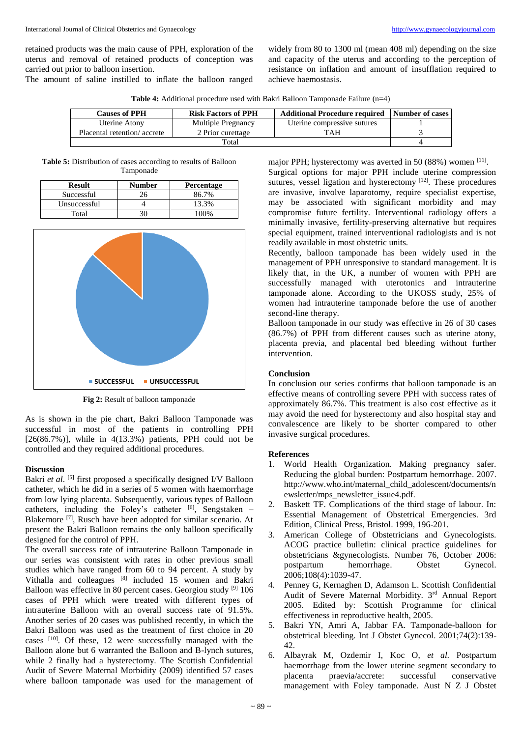retained products was the main cause of PPH, exploration of the uterus and removal of retained products of conception was carried out prior to balloon insertion.

The amount of saline instilled to inflate the balloon ranged

widely from 80 to 1300 ml (mean 408 ml) depending on the size and capacity of the uterus and according to the perception of resistance on inflation and amount of insufflation required to achieve haemostasis.

**Table 4:** Additional procedure used with Bakri Balloon Tamponade Failure (n=4)

| <b>Causes of PPH</b>        | <b>Risk Factors of PPH</b> | <b>Additional Procedure required</b> | Number of cases |
|-----------------------------|----------------------------|--------------------------------------|-----------------|
| Uterine Atony               | <b>Multiple Pregnancy</b>  | Uterine compressive sutures          |                 |
| Placental retention/accrete | 2 Prior curettage          | TAH                                  |                 |
|                             |                            |                                      |                 |

**Table 5:** Distribution of cases according to results of Balloon Tamponade

| Result       | <b>Number</b> | <b>Percentage</b> |
|--------------|---------------|-------------------|
| Successful   |               | 86.7%             |
| Unsuccessful |               | 13.3%             |
| Total        |               |                   |



**Fig 2:** Result of balloon tamponade

As is shown in the pie chart, Bakri Balloon Tamponade was successful in most of the patients in controlling PPH  $[26(86.7\%)]$ , while in  $4(13.3\%)$  patients, PPH could not be controlled and they required additional procedures.

#### **Discussion**

Bakri *et al*. [5] first proposed a specifically designed I/V Balloon catheter, which he did in a series of 5 women with haemorrhage from low lying placenta. Subsequently, various types of Balloon catheters, including the Foley's catheter  $[6]$ , Sengstaken – Blakemore [7], Rusch have been adopted for similar scenario. At present the Bakri Balloon remains the only balloon specifically designed for the control of PPH.

The overall success rate of intrauterine Balloon Tamponade in our series was consistent with rates in other previous small studies which have ranged from 60 to 94 percent. A study by Vithalla and colleagues [8] included 15 women and Bakri Balloon was effective in 80 percent cases. Georgiou study [9] 106 cases of PPH which were treated with different types of intrauterine Balloon with an overall success rate of 91.5%. Another series of 20 cases was published recently, in which the Bakri Balloon was used as the treatment of first choice in 20 cases <sup>[10]</sup>. Of these, 12 were successfully managed with the Balloon alone but 6 warranted the Balloon and B-lynch sutures, while 2 finally had a hysterectomy. The Scottish Confidential Audit of Severe Maternal Morbidity (2009) identified 57 cases where balloon tamponade was used for the management of

major PPH; hysterectomy was averted in 50 (88%) women [11]. Surgical options for major PPH include uterine compression sutures, vessel ligation and hysterectomy [12]. These procedures are invasive, involve laparotomy, require specialist expertise, may be associated with significant morbidity and may compromise future fertility. Interventional radiology offers a minimally invasive, fertility-preserving alternative but requires special equipment, trained interventional radiologists and is not readily available in most obstetric units.

Recently, balloon tamponade has been widely used in the management of PPH unresponsive to standard management. It is likely that, in the UK, a number of women with PPH are successfully managed with uterotonics and intrauterine tamponade alone. According to the UKOSS study, 25% of women had intrauterine tamponade before the use of another second-line therapy.

Balloon tamponade in our study was effective in 26 of 30 cases (86.7%) of PPH from different causes such as uterine atony, placenta previa, and placental bed bleeding without further intervention.

# **Conclusion**

In conclusion our series confirms that balloon tamponade is an effective means of controlling severe PPH with success rates of approximately 86.7%. This treatment is also cost effective as it may avoid the need for hysterectomy and also hospital stay and convalescence are likely to be shorter compared to other invasive surgical procedures.

# **References**

- 1. World Health Organization. Making pregnancy safer. Reducing the global burden: Postpartum hemorrhage. 2007. http://www.who.int/maternal\_child\_adolescent/documents/n ewsletter/mps\_newsletter\_issue4.pdf.
- 2. Baskett TF. Complications of the third stage of labour. In: Essential Management of Obstetrical Emergencies. 3rd Edition, Clinical Press, Bristol. 1999, 196-201.
- 3. American College of Obstetricians and Gynecologists. ACOG practice bulletin: clinical practice guidelines for obstetricians &gynecologists. Number 76, October 2006: postpartum hemorrhage. Obstet Gynecol. 2006;108(4):1039-47.
- 4. Penney G, Kernaghen D, Adamson L. Scottish Confidential Audit of Severe Maternal Morbidity. 3rd Annual Report 2005. Edited by: Scottish Programme for clinical effectiveness in reproductive health, 2005.
- 5. Bakri YN, Amri A, Jabbar FA. Tamponade-balloon for obstetrical bleeding. Int J Obstet Gynecol. 2001;74(2):139- 42.
- 6. Albayrak M, Ozdemir I, Koc O, *et al.* Postpartum haemorrhage from the lower uterine segment secondary to placenta praevia/accrete: successful conservative management with Foley tamponade. Aust N Z J Obstet